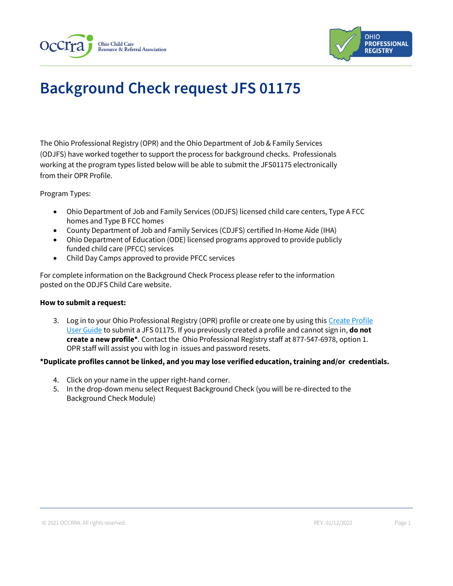



# **Background Check request JFS 01175**

The Ohio Professional Registry (OPR) and the Ohio Department of Job & Family Services (ODJFS) have worked together to support the process for background checks. Professionals working at the program types listed below will be able to submit the JFS01175 electronically from their OPR Profile.

Program Types:

- Ohio Department of Job and Family Services (ODJFS) licensed child care centers, Type A FCC homes and Type B FCC homes
- County Department of Job and Family Services (CDJFS) certified In-Home Aide (IHA)
- Ohio Department of Education (ODE) licensed programs approved to provide publicly funded child care (PFCC) services
- Child Day Camps approved to provide PFCC services

For complete information on the Background Check Process please refer to the information posted on the ODJFS Child Care website.

#### **How to submit a request:**

3. Log in to your Ohio Professional Registry (OPR) profile or create one by using this [Create Profile](chrome-extension://efaidnbmnnnibpcajpcglclefindmkaj/viewer.html?pdfurl=https%3A%2F%2Fd2hfgw7vtnz2tl.cloudfront.net%2Fwp-content%2Fuploads%2F2021%2F08%2Fopr-create-profile-user-guide.pdf&chunk=true)  [User Guide](chrome-extension://efaidnbmnnnibpcajpcglclefindmkaj/viewer.html?pdfurl=https%3A%2F%2Fd2hfgw7vtnz2tl.cloudfront.net%2Fwp-content%2Fuploads%2F2021%2F08%2Fopr-create-profile-user-guide.pdf&chunk=true) to submit a JFS 01175. If you previously created a profile and cannot sign in, **do not create a new profile\***. Contact the Ohio Professional Registry staff at 877-547-6978, option 1. OPR staff will assist you with log in issues and password resets.

### **\*Duplicate profiles cannot be linked, and you may lose verified education, training and/or credentials.**

- 4. Click on your name in the upper right-hand corner.
- 5. In the drop-down menu select Request Background Check (you will be re-directed to the Background Check Module)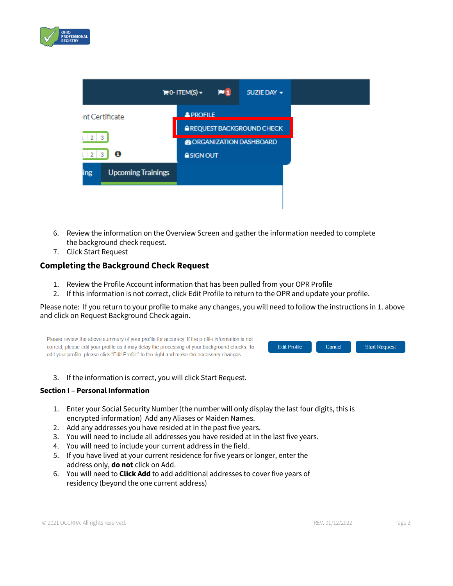



- 6. Review the information on the Overview Screen and gather the information needed to complete the background check request.
- 7. Click Start Request

## **Completing the Background Check Request**

- 1. Review the Profile Account information that has been pulled from your OPR Profile
- 2. If this information is not correct, click Edit Profile to return to the OPR and update your profile.

Please note: If you return to your profile to make any changes, you will need to follow the instructions in 1. above and click on Request Background Check again.

Please review the above summary of your profile for accuracy. If the profile information is not correct, please edit your profile as it may delay the processing of your background checks. To **Edit Profile** edit your profile, please click "Edit Profile" to the right and make the necessary changes.



3. If the information is correct, you will click Start Request.

#### **Section I – Personal Information**

- 1. Enter your Social Security Number (the number will only display the last four digits, this is encrypted information) Add any Aliases or Maiden Names.
- 2. Add any addresses you have resided at in the past five years.
- 3. You will need to include all addresses you have resided at in the last five years.
- 4. You will need to include your current address in the field.
- 5. If you have lived at your current residence for five years or longer, enter the address only, **do not** click on Add.
- 6. You will need to **Click Add** to add additional addresses to cover five years of residency (beyond the one current address)

```
© 2021 OCCRRA. All rights reserved. REV. 01/12/2022 Page 2
```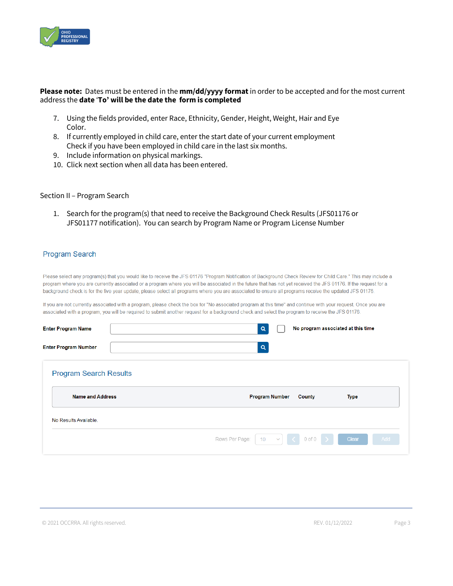

#### **Please note:** Dates must be entered in the **mm/dd/yyyy format** in order to be accepted and for the most current address the **date** '**To' will be the date the form is completed**

- 7. Using the fields provided, enter Race, Ethnicity, Gender, Height, Weight, Hair and Eye Color.
- 8. If currently employed in child care, enter the start date of your current employment Check if you have been employed in child care in the last six months.
- 9. Include information on physical markings.
- 10. Click next section when all data has been entered.

#### Section II – Program Search

1. Search for the program(s) that need to receive the Background Check Results (JFS01176 or JFS01177 notification). You can search by Program Name or Program License Number

#### **Program Search**

Please select any program(s) that you would like to receive the JFS 01176 "Program Notification of Background Check Review for Child Care." This may include a program where you are currently associated or a program where you will be associated in the future that has not yet received the JFS 01176. If the request for a background check is for the five year update, please select all programs where you are associated to ensure all programs receive the updated JFS 01176.

If you are not currently associated with a program, please check the box for "No associated program at this time" and continue with your request. Once you are associated with a program, you will be required to submit another request for a background check and select the program to receive the JFS 01176.

| <b>Enter Program Name</b>     | No program associated at this time<br>Q                                                |
|-------------------------------|----------------------------------------------------------------------------------------|
| <b>Enter Program Number</b>   | $\alpha$                                                                               |
| <b>Program Search Results</b> |                                                                                        |
| <b>Name and Address</b>       | <b>Program Number</b><br>County<br><b>Type</b>                                         |
| No Results Available.         |                                                                                        |
|                               | $0$ of $0$<br>$\langle$<br>Rows Per Page:<br>Clear<br>Add<br>10 <sup>°</sup><br>$\sim$ |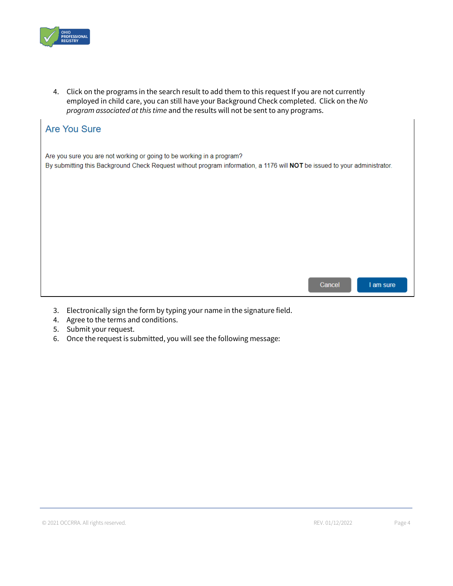

4. Click on the programs in the search result to add them to this request If you are not currently employed in child care, you can still have your Background Check completed. Click on the *No program associated at this time* and the results will not be sent to any programs.

| <b>Are You Sure</b>                                                                                                                                                                                |  |
|----------------------------------------------------------------------------------------------------------------------------------------------------------------------------------------------------|--|
| Are you sure you are not working or going to be working in a program?<br>By submitting this Background Check Request without program information, a 1176 will NOT be issued to your administrator. |  |
|                                                                                                                                                                                                    |  |
|                                                                                                                                                                                                    |  |
|                                                                                                                                                                                                    |  |
| Cancel<br>I am sure                                                                                                                                                                                |  |

- 3. Electronically sign the form by typing your name in the signature field.
- 4. Agree to the terms and conditions.
- 5. Submit your request.
- 6. Once the request is submitted, you will see the following message: